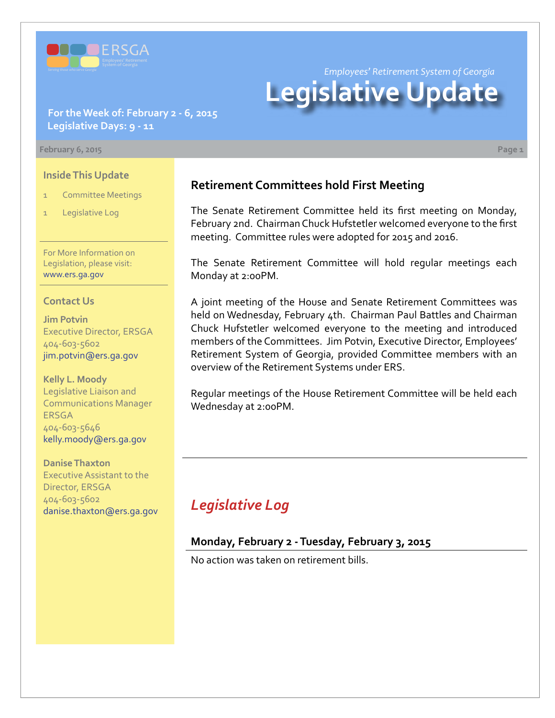

*Employees' Retirement System of Georgia*

# **Legislative Update**

### **For the Week of: February 2 - 6, 2015 Legislative Days: 9 - 11**

#### **February 6, 2015 Page 1**

#### **Inside This Update**

- **Committee Meetings**
- Legislative Log

For More Information on Legislation, please visit: [www.ers.ga.gov](http://www.ers.ga.gov/default.aspx)

#### **Contact Us**

**Jim Potvin** Executive Director, ERSGA 404-603-5602 jim.potvin@ers.ga.gov

**Kelly L. Moody** Legislative Liaison and Communications Manager ERSGA 404-603-5646 kelly.moody@ers.ga.gov

**Danise Thaxton** Executive Assistant to the Director, ERSGA 404-603-5602 danise.thaxton@ers.ga.gov

## **Retirement Committees hold First Meeting**

The Senate Retirement Committee held its first meeting on Monday, February 2nd. Chairman Chuck Hufstetler welcomed everyone to the first meeting. Committee rules were adopted for 2015 and 2016.

The Senate Retirement Committee will hold regular meetings each Monday at 2:00PM.

A joint meeting of the House and Senate Retirement Committees was held on Wednesday, February 4th. Chairman Paul Battles and Chairman Chuck Hufstetler welcomed everyone to the meeting and introduced members of the Committees. Jim Potvin, Executive Director, Employees' Retirement System of Georgia, provided Committee members with an overview of the Retirement Systems under ERS.

Regular meetings of the House Retirement Committee will be held each Wednesday at 2:00PM.

# *Legislative Log*

#### **Monday, February 2 - Tuesday, February 3, 2015**

No action was taken on retirement bills.